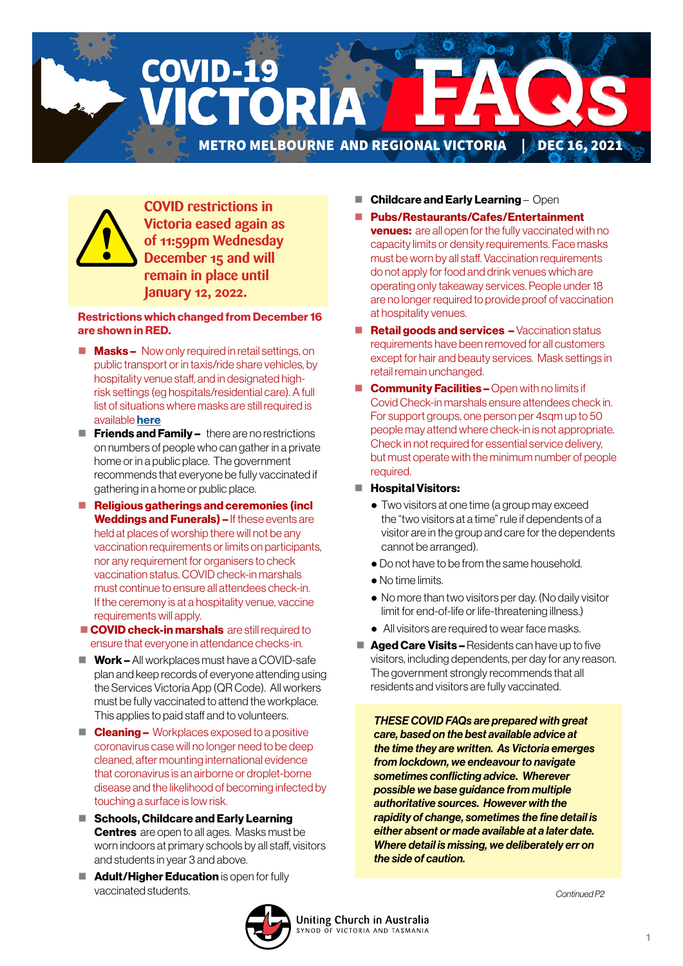



**COVID restrictions in Victoria eased again as of 11:59pm Wednesday December 15 and will remain in place until January 12, 2022.**

#### Restrictions which changed from December 16 are shown in RED.

- $\blacksquare$  **Masks** Now only required in retail settings, on public transport or in taxis/ride share vehicles, by hospitality venue staff, and in designated highrisk settings (eg hospitals/residential care). A full list of situations where masks are still required is available [here](https://www.coronavirus.vic.gov.au/face-masks-when-wear-face-mask)
- $\blacksquare$  Friends and Family there are no restrictions on numbers of people who can gather in a private home or in a public place. The government recommends that everyone be fully vaccinated if gathering in a home or public place.
- Religious gatherings and ceremonies (incl Weddings and Funerals) – If these events are held at places of worship there will not be any vaccination requirements or limits on participants, nor any requirement for organisers to check vaccination status. COVID check-in marshals must continue to ensure all attendees check-in. If the ceremony is at a hospitality venue, vaccine requirements will apply.
- COVID check-in marshals are still required to ensure that everyone in attendance checks-in.
- $\blacksquare$  Work All workplaces must have a COVID-safe plan and keep records of everyone attending using the Services Victoria App (QR Code). All workers must be fully vaccinated to attend the workplace. This applies to paid staff and to volunteers.
- $\blacksquare$  **Cleaning –** Workplaces exposed to a positive coronavirus case will no longer need to be deep cleaned, after mounting international evidence that coronavirus is an airborne or droplet-borne disease and the likelihood of becoming infected by touching a surface is low risk.
- Schools, Childcare and Early Learning **Centres** are open to all ages. Masks must be worn indoors at primary schools by all staff, visitors and students in year 3 and above.
- $\blacksquare$  **Adult/Higher Education** is open for fully vaccinated students.
- **Childcare and Early Learning Open**
- Pubs/Restaurants/Cafes/Entertainment **venues:** are all open for the fully vaccinated with no capacity limits or density requirements. Face masks must be worn by all staff. Vaccination requirements do not apply for food and drink venues which are operating only takeaway services. People under 18 are no longer required to provide proof of vaccination at hospitality venues.
- Retail goods and services Vaccination status requirements have been removed for all customers except for hair and beauty services. Mask settings in retail remain unchanged.
- **Community Facilities Open with no limits if** Covid Check-in marshals ensure attendees check in. For support groups, one person per 4sqm up to 50 people may attend where check-in is not appropriate. Check in not required for essential service delivery, but must operate with the minimum number of people required.
- **Hospital Visitors:** 
	- Two visitors at one time (a group may exceed the "two visitors at a time" rule if dependents of a visitor are in the group and care for the dependents cannot be arranged).
	- Do not have to be from the same household.
	- No time limits.
	- No more than two visitors per day. (No daily visitor limit for end-of-life or life-threatening illness.)
	- All visitors are required to wear face masks.
- **Aged Care Visits Residents can have up to five** visitors, including dependents, per day for any reason. The government strongly recommends that all residents and visitors are fully vaccinated.

*THESE COVID FAQs are prepared with great care, based on the best available advice at the time they are written. As Victoria emerges from lockdown, we endeavour to navigate sometimes conflicting advice. Wherever possible we base guidance from multiple authoritative sources. However with the rapidity of change, sometimes the fine detail is either absent or made available at a later date. Where detail is missing, we deliberately err on the side of caution.* 

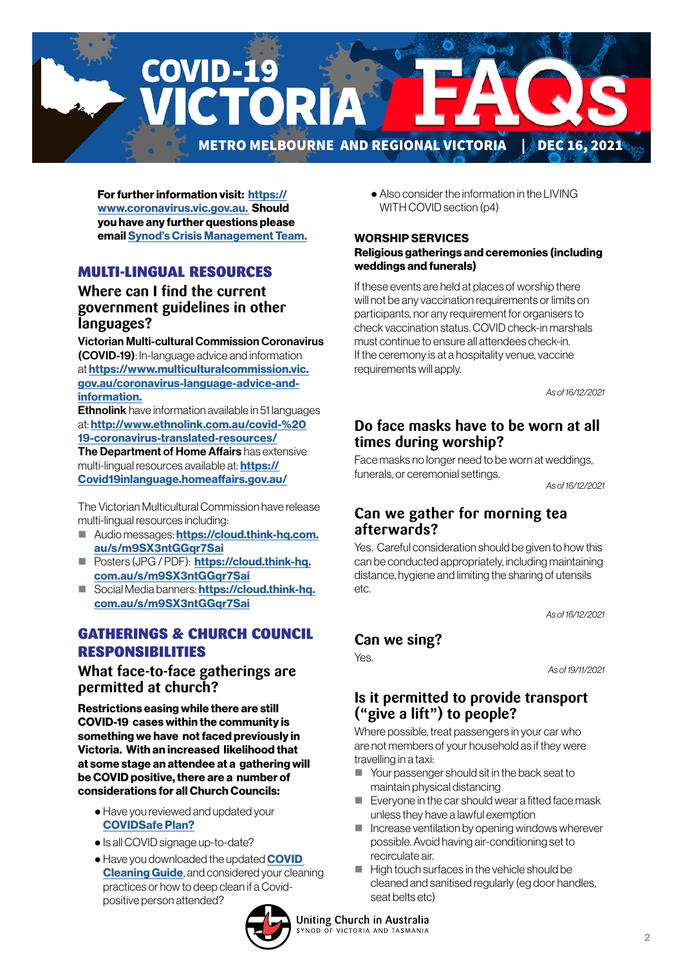

For further information visit: [https://](https://www.coronavirus.vic.gov.au) [www.coronavirus.vic.gov.au.](https://www.coronavirus.vic.gov.au) Should you have any further questions please email [Synod's Crisis Management Team.](mailto:CrisisManagement%40victas.uca.org.au?subject=)

#### MULTI-LINGUAL RESOURCES

#### **Where can I find the current government guidelines in other languages?**

Victorian Multi-cultural Commission Coronavirus (COVID-19): In-language advice and information at [https://www.multiculturalcommission.vic.](https://www.multiculturalcommission.vic.gov.au/coronavirus-language-advice-and-information) [gov.au/coronavirus-language-advice-and](https://www.multiculturalcommission.vic.gov.au/coronavirus-language-advice-and-information)[information.](https://www.multiculturalcommission.vic.gov.au/coronavirus-language-advice-and-information)

Ethnolink have information available in 51 languages at: [http://www.ethnolink.com.au/covid-%20](http://www.ethnolink.com.au/covid-%2019-coronavirus-translated-resources/) [19-coronavirus-translated-resources/](http://www.ethnolink.com.au/covid-%2019-coronavirus-translated-resources/)

The Department of Home Affairs has extensive multi-lingual resources available at: **[https://](https://Covid19inlanguage.homeaffairs.gov.au/)** [Covid19inlanguage.homeaffairs.gov.au/](https://Covid19inlanguage.homeaffairs.gov.au/)

The Victorian Multicultural Commission have release multi-lingual resources including:

- Audio messages: [https://cloud.think-hq.com.](https://cloud.think-hq.com.au/s/m9SX3ntGGqr7Sai) [au/s/m9SX3ntGGqr7Sai](https://cloud.think-hq.com.au/s/m9SX3ntGGqr7Sai)
- **Posters (JPG / PDF): [https://cloud.think-hq.](https://cloud.think-hq.com.au/s/m9SX3ntGGqr7Sai)** [com.au/s/m9SX3ntGGqr7Sai](https://cloud.think-hq.com.au/s/m9SX3ntGGqr7Sai)
- Social Media banners: [https://cloud.think-hq.](https://cloud.think-hq.com.au/s/m9SX3ntGGqr7Sai) [com.au/s/m9SX3ntGGqr7Sai](https://cloud.think-hq.com.au/s/m9SX3ntGGqr7Sai)

## GATHERINGS & CHURCH COUNCIL RESPONSIBILITIES

#### **What face-to-face gatherings are permitted at church?**

Restrictions easing while there are still COVID-19 cases within the community is something we have not faced previously in Victoria. With an increased likelihood that at some stage an attendee at a gathering will be COVID positive, there are a number of considerations for all Church Councils:

- Have you reviewed and updated your [COVIDSafe Plan?](https://victas.uca.org.au/download/668/faq/8852/recovery-action-plan-checklist-v5)
- Is all COVID signage up-to-date?
- Have you downloaded the updated **COVID [Cleaning Guide](https://victas.uca.org.au/download/668/faq/11557/covid-cleaning-guide)**, and considered your cleaning practices or how to deep clean if a Covidpositive person attended?



 ● Also consider the information in the LIVING WITH COVID section (p4)

#### WORSHIP SERVICES Religious gatherings and ceremonies (including weddings and funerals)

If these events are held at places of worship there will not be any vaccination requirements or limits on participants, nor any requirement for organisers to check vaccination status. COVID check-in marshals must continue to ensure all attendees check-in. If the ceremony is at a hospitality venue, vaccine requirements will apply.

*As of 16/12/2021* 

## **Do face masks have to be worn at all times during worship?**

Face masks no longer need to be worn at weddings, funerals, or ceremonial settings.

*As of 16/12/2021*

## **Can we gather for morning tea afterwards?**

Yes. Careful consideration should be given to how this can be conducted appropriately, including maintaining distance, hygiene and limiting the sharing of utensils etc.

*As of 16/12/2021*

#### **Can we sing?**

Yes.

*As of 19/11/2021*

#### **Is it permitted to provide transport ("give a lift") to people?**

Where possible, treat passengers in your car who are not members of your household as if they were travelling in a taxi:

- Your passenger should sit in the back seat to maintain physical distancing
- $\blacksquare$  Everyone in the car should wear a fitted face mask unless they have a lawful exemption
- $\blacksquare$  Increase ventilation by opening windows wherever possible. Avoid having air-conditioning set to recirculate air.
- High touch surfaces in the vehicle should be cleaned and sanitised regularly (eg door handles, seat belts etc)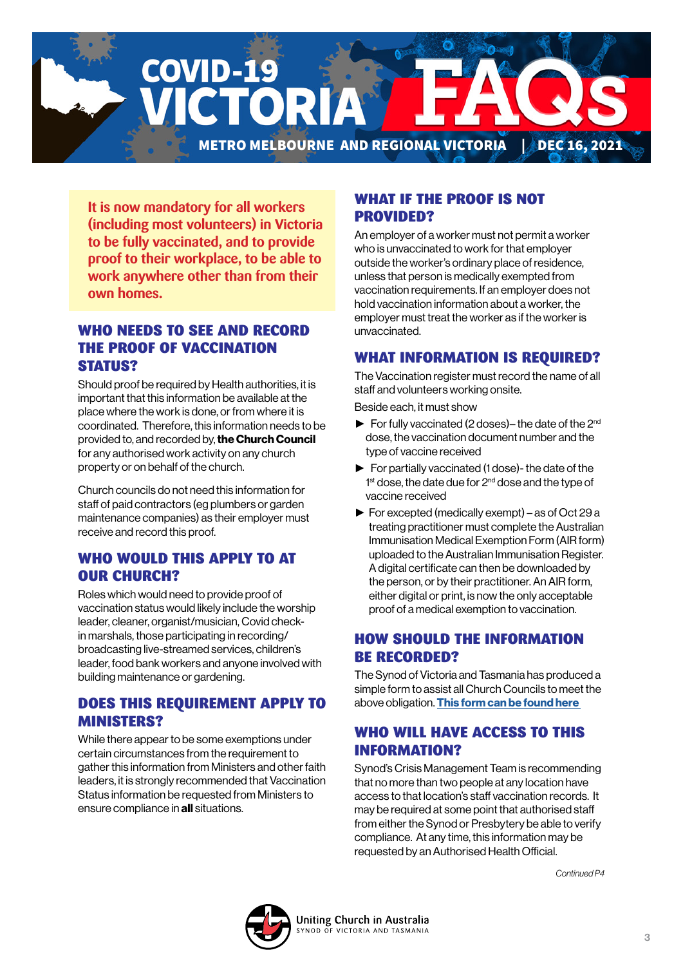**COVID-19** CTORI METRO MELBOURNE AND REGIONAL VICTORIA | DEC 16, 2021

**It is now mandatory for all workers (including most volunteers) in Victoria to be fully vaccinated, and to provide proof to their workplace, to be able to work anywhere other than from their own homes.**

## WHO NEEDS TO SEE AND RECORD THE PROOF OF VACCINATION STATUS?

Should proof be required by Health authorities, it is important that this information be available at the place where the work is done, or from where it is coordinated. Therefore, this information needs to be provided to, and recorded by, the Church Council for any authorised work activity on any church property or on behalf of the church.

Church councils do not need this information for staff of paid contractors (eg plumbers or garden maintenance companies) as their employer must receive and record this proof.

## WHO WOULD THIS APPLY TO AT OUR CHURCH?

Roles which would need to provide proof of vaccination status would likely include the worship leader, cleaner, organist/musician, Covid checkin marshals, those participating in recording/ broadcasting live-streamed services, children's leader, food bank workers and anyone involved with building maintenance or gardening.

#### DOES THIS REQUIREMENT APPLY TO MINISTERS?

While there appear to be some exemptions under certain circumstances from the requirement to gather this information from Ministers and other faith leaders, it is strongly recommended that Vaccination Status information be requested from Ministers to ensure compliance in all situations.

#### WHAT IF THE PROOF IS NOT PROVIDED?

An employer of a worker must not permit a worker who is unvaccinated to work for that employer outside the worker's ordinary place of residence, unless that person is medically exempted from vaccination requirements. If an employer does not hold vaccination information about a worker, the employer must treat the worker as if the worker is unvaccinated.

## WHAT INFORMATION IS REQUIRED?

The Vaccination register must record the name of all staff and volunteers working onsite.

Beside each, it must show

- $\blacktriangleright$  For fully vaccinated (2 doses)– the date of the 2<sup>nd</sup> dose, the vaccination document number and the type of vaccine received
- ► For partially vaccinated (1 dose)- the date of the 1<sup>st</sup> dose, the date due for 2<sup>nd</sup> dose and the type of vaccine received
- ► For excepted (medically exempt) as of Oct 29 a treating practitioner must complete the Australian Immunisation Medical Exemption Form (AIR form) uploaded to the Australian Immunisation Register. A digital certificate can then be downloaded by the person, or by their practitioner. An AIR form, either digital or print, is now the only acceptable proof of a medical exemption to vaccination.

## HOW SHOULD THE INFORMATION BE RECORDED?

The Synod of Victoria and Tasmania has produced a simple form to assist all Church Councils to meet the above obligation. This form can be found here

## WHO WILL HAVE ACCESS TO THIS INFORMATION?

Synod's Crisis Management Team is recommending that no more than two people at any location have access to that location's staff vaccination records. It may be required at some point that authorised staff from either the Synod or Presbytery be able to verify compliance. At any time, this information may be requested by an Authorised Health Official.

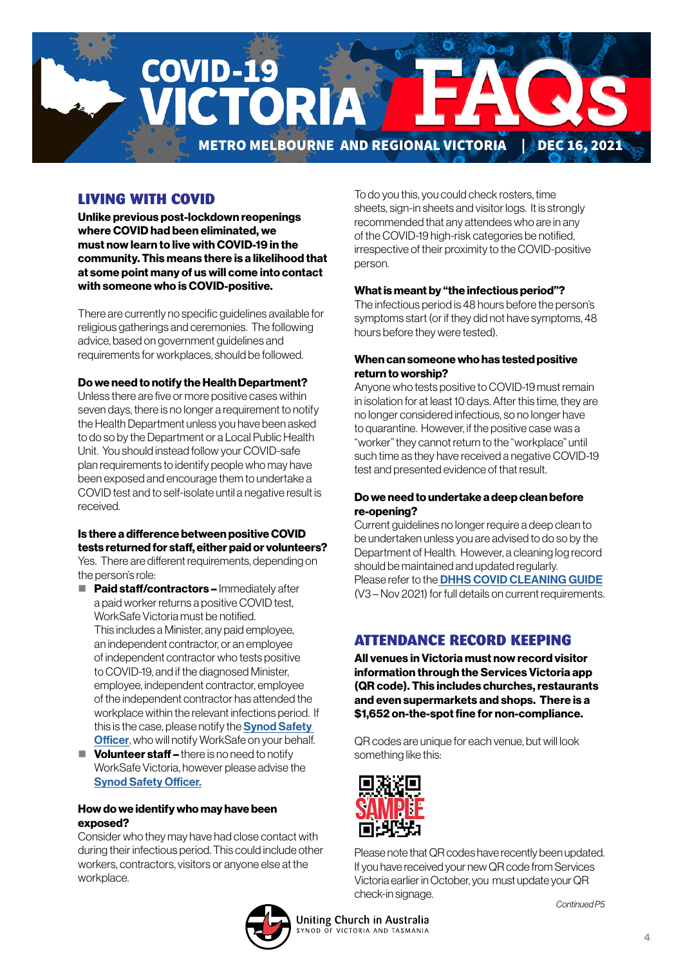

## LIVING WITH COVID

Unlike previous post-lockdown reopenings where COVID had been eliminated, we must now learn to live with COVID-19 in the community. This means there is a likelihood that at some point many of us will come into contact with someone who is COVID-positive.

There are currently no specific guidelines available for religious gatherings and ceremonies. The following advice, based on government guidelines and requirements for workplaces, should be followed.

#### Do we need to notify the Health Department?

Unless there are five or more positive cases within seven days, there is no longer a requirement to notify the Health Department unless you have been asked to do so by the Department or a Local Public Health Unit. You should instead follow your COVID-safe plan requirements to identify people who may have been exposed and encourage them to undertake a COVID test and to self-isolate until a negative result is received.

#### Is there a difference between positive COVID tests returned for staff, either paid or volunteers?

Yes. There are different requirements, depending on the person's role:

- **Paid staff/contractors Immediately after** a paid worker returns a positive COVID test, WorkSafe Victoria must be notified. This includes a Minister, any paid employee, an independent contractor, or an employee of independent contractor who tests positive to COVID-19, and if the diagnosed Minister, employee, independent contractor, employee of the independent contractor has attended the workplace within the relevant infections period. If this is the case, please notify the **Synod Safety [Officer](mailto:Elnura.Dulakovic%40victas.uca.org.au?subject=)**, who will notify WorkSafe on your behalf.
- $\blacksquare$  Volunteer staff there is no need to notify WorkSafe Victoria, however please advise the [Synod Safety Officer.](mailto:Elnura.Dulakovic%40victas.uca.org.au?subject=)

#### How do we identify who may have been exposed?

Consider who they may have had close contact with during their infectious period. This could include other workers, contractors, visitors or anyone else at the workplace.

To do you this, you could check rosters, time sheets, sign-in sheets and visitor logs. It is strongly recommended that any attendees who are in any of the COVID-19 high-risk categories be notified, irrespective of their proximity to the COVID-positive person.

#### What is meant by "the infectious period"?

The infectious period is 48 hours before the person's symptoms start (or if they did not have symptoms, 48 hours before they were tested).

#### When can someone who has tested positive return to worship?

Anyone who tests positive to COVID-19 must remain in isolation for at least 10 days. After this time, they are no longer considered infectious, so no longer have to quarantine. However, if the positive case was a "worker" they cannot return to the "workplace" until such time as they have received a negative COVID-19 test and presented evidence of that result.

#### Do we need to undertake a deep clean before re-opening?

Current guidelines no longer require a deep clean to be undertaken unless you are advised to do so by the Department of Health. However, a cleaning log record should be maintained and updated regularly. Please refer to the **[DHHS COVID CLEANING GUIDE](https://victas.uca.org.au/download/668/faq/11557/covid-cleaning-guide)** (V3 – Nov 2021) for full details on current requirements.

#### ATTENDANCE RECORD KEEPING

All venues in Victoria must now record visitor information through the Services Victoria app (QR code). This includes churches, restaurants and even supermarkets and shops. There is a \$1,652 on-the-spot fine for non-compliance.

QR codes are unique for each venue, but will look something like this:



Please note that QR codes have recently been updated. If you have received your new QR code from Services Victoria earlier in October, you must update your QR check-in signage.

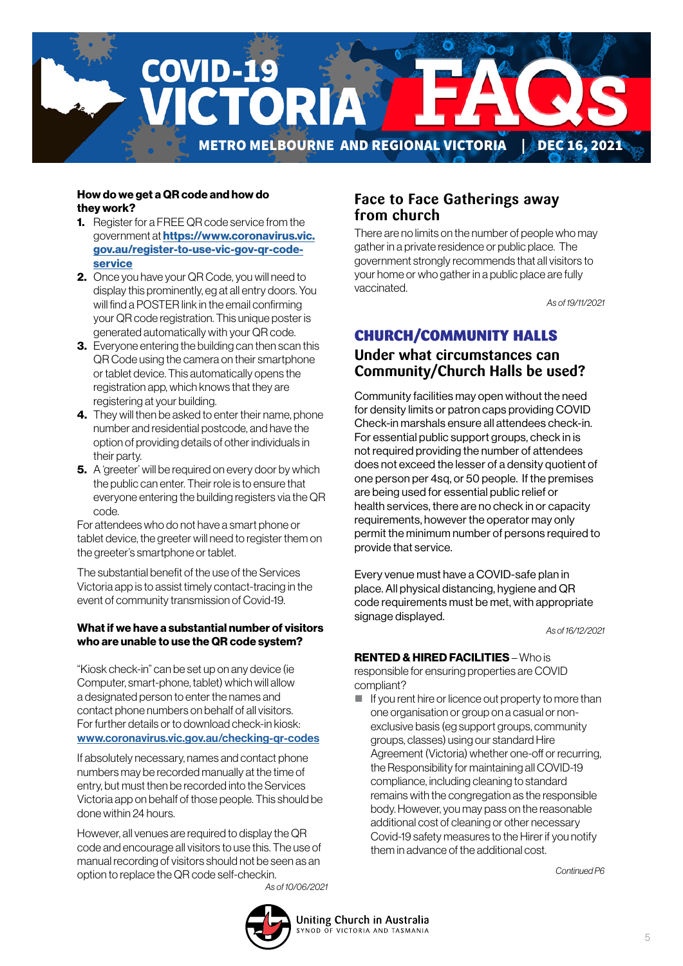

#### How do we get a QR code and how do they work?

- **1.** Register for a FREE QR code service from the government at **[https://www.coronavirus.vic.](https://www.coronavirus.vic.gov.au/register-to-use-vic-gov-qr-code-service)** [gov.au/register-to-use-vic-gov-qr-code](https://www.coronavirus.vic.gov.au/register-to-use-vic-gov-qr-code-service)[service](https://www.coronavirus.vic.gov.au/register-to-use-vic-gov-qr-code-service)
- 2. Once you have your QR Code, you will need to display this prominently, eg at all entry doors. You will find a POSTER link in the email confirming your QR code registration. This unique poster is generated automatically with your QR code.
- **3.** Everyone entering the building can then scan this QR Code using the camera on their smartphone or tablet device. This automatically opens the registration app, which knows that they are registering at your building.
- 4. They will then be asked to enter their name, phone number and residential postcode, and have the option of providing details of other individuals in their party.
- **5.** A 'greeter' will be required on every door by which the public can enter. Their role is to ensure that everyone entering the building registers via the QR code.

For attendees who do not have a smart phone or tablet device, the greeter will need to register them on the greeter's smartphone or tablet.

The substantial benefit of the use of the Services Victoria app is to assist timely contact-tracing in the event of community transmission of Covid-19.

#### What if we have a substantial number of visitors who are unable to use the QR code system?

"Kiosk check-in" can be set up on any device (ie Computer, smart-phone, tablet) which will allow a designated person to enter the names and contact phone numbers on behalf of all visitors. For further details or to download check-in kiosk: [www.coronavirus.vic.gov.au/checking-qr-codes](http://www.coronavirus.vic.gov.au/checking-qr-codes)

If absolutely necessary, names and contact phone numbers may be recorded manually at the time of entry, but must then be recorded into the Services Victoria app on behalf of those people. This should be done within 24 hours.

However, all venues are required to display the QR code and encourage all visitors to use this. The use of manual recording of visitors should not be seen as an option to replace the QR code self-checkin. *As of 10/06/2021*

#### **Face to Face Gatherings away from church**

There are no limits on the number of people who may gather in a private residence or public place. The government strongly recommends that all visitors to your home or who gather in a public place are fully vaccinated.

*As of 19/11/2021*

## CHURCH/COMMUNITY HALLS

## **Under what circumstances can Community/Church Halls be used?**

Community facilities may open without the need for density limits or patron caps providing COVID Check-in marshals ensure all attendees check-in. For essential public support groups, check in is not required providing the number of attendees does not exceed the lesser of a density quotient of one person per 4sq, or 50 people. If the premises are being used for essential public relief or health services, there are no check in or capacity requirements, however the operator may only permit the minimum number of persons required to provide that service.

Every venue must have a COVID-safe plan in place. All physical distancing, hygiene and QR code requirements must be met, with appropriate signage displayed.

*As of 16/12/2021*

#### RENTED & HIRED FACILITIES – Who is

responsible for ensuring properties are COVID compliant?

 $\blacksquare$  If you rent hire or licence out property to more than one organisation or group on a casual or nonexclusive basis (eg support groups, community groups, classes) using our standard Hire Agreement (Victoria) whether one-off or recurring, the Responsibility for maintaining all COVID-19 compliance, including cleaning to standard remains with the congregation as the responsible body. However, you may pass on the reasonable additional cost of cleaning or other necessary Covid-19 safety measures to the Hirer if you notify them in advance of the additional cost.

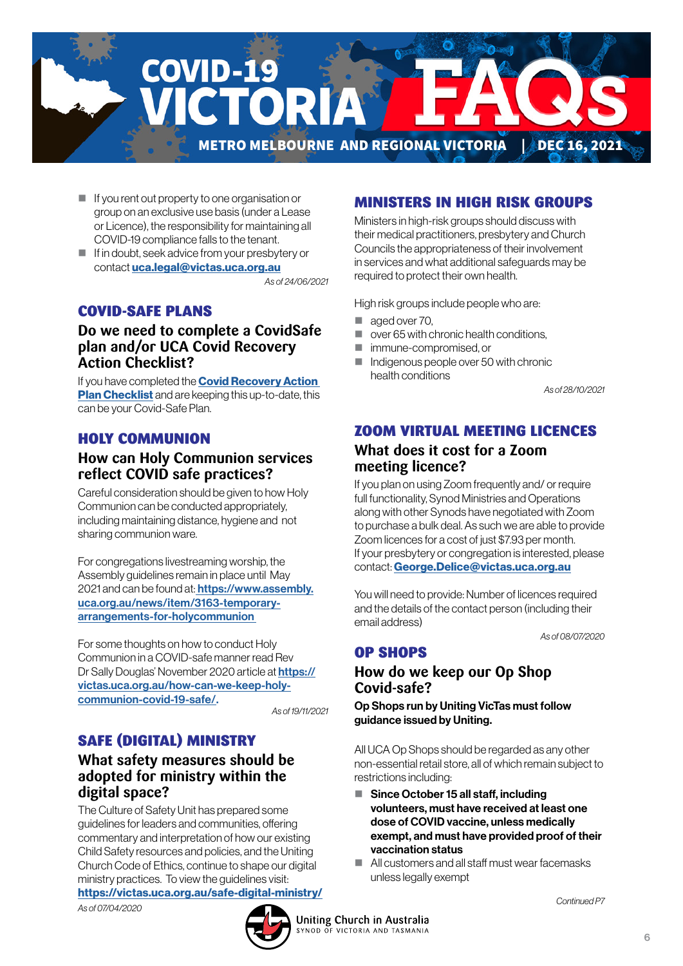

- If you rent out property to one organisation or group on an exclusive use basis (under a Lease or Licence), the responsibility for maintaining all COVID-19 compliance falls to the tenant.
- If in doubt, seek advice from your presbytery or contact [uca.legal@victas.uca.org.au](mailto:uca.legal%40victas.uca.org.au?subject=)

*As of 24/06/2021*

## COVID-SAFE PLANS

#### **Do we need to complete a CovidSafe plan and/or UCA Covid Recovery Action Checklist?**

If you have completed the **Covid Recovery Action [Plan Checklist](https://victas.uca.org.au/download/668/faq/8852/recovery-action-plan-checklist-v5)** and are keeping this up-to-date, this can be your Covid-Safe Plan.

#### HOLY COMMUNION

## **How can Holy Communion services reflect COVID safe practices?**

Careful consideration should be given to how Holy Communion can be conducted appropriately, including maintaining distance, hygiene and not sharing communion ware.

For congregations livestreaming worship, the Assembly guidelines remain in place until May 2021 and can be found at: **https://www.assembly.** [uca.org.au/news/item/3163-temporary](https://
www.assembly.uca.org.au/news/item/3163-
temporary-arrangements-for-holycommunion )[arrangements-for-holycommunion](https://
www.assembly.uca.org.au/news/item/3163-
temporary-arrangements-for-holycommunion ) 

For some thoughts on how to conduct Holy Communion in a COVID-safe manner read Rev Dr Sally Douglas' November 2020 article at [https://](https://

victas.uca.org.au/how-can-we-keep-holy-

communion-covid-19-safe/) [victas.uca.org.au/how-can-we-keep-holy](https://

victas.uca.org.au/how-can-we-keep-holy-

communion-covid-19-safe/)[communion-covid-19-safe/.](https://

victas.uca.org.au/how-can-we-keep-holy-

communion-covid-19-safe/) 

*As of 19/11/2021*

## SAFE (DIGITAL) MINISTRY

#### **What safety measures should be adopted for ministry within the digital space?**

The Culture of Safety Unit has prepared some guidelines for leaders and communities, offering commentary and interpretation of how our existing Child Safety resources and policies, and the Uniting Church Code of Ethics, continue to shape our digital ministry practices. To view the guidelines visit: <https://victas.uca.org.au/safe-digital-ministry/> *As of 07/04/2020*

# MINISTERS IN HIGH RISK GROUPS

Ministers in high-risk groups should discuss with their medical practitioners, presbytery and Church Councils the appropriateness of their involvement in services and what additional safeguards may be required to protect their own health.

High risk groups include people who are:

- aged over 70.
- $\Box$  over 65 with chronic health conditions.
- **F** immune-compromised or
- Indigenous people over 50 with chronic health conditions

*As of 28/10/2021*

#### ZOOM VIRTUAL MEETING LICENCES

#### **What does it cost for a Zoom meeting licence?**

If you plan on using Zoom frequently and/ or require full functionality, Synod Ministries and Operations along with other Synods have negotiated with Zoom to purchase a bulk deal. As such we are able to provide Zoom licences for a cost of just \$7.93 per month. If your presbytery or congregation is interested, please contact: [George.Delice@victas.uca.org.au](mailto:George.Delice%40victas.uca.org.au?subject=)

You will need to provide: Number of licences required and the details of the contact person (including their email address)

*As of 08/07/2020*

## OP SHOPS

## **How do we keep our Op Shop Covid-safe?**

Op Shops run by Uniting VicTas must follow guidance issued by Uniting.

All UCA Op Shops should be regarded as any other non-essential retail store, all of which remain subject to restrictions including:

- Since October 15 all staff, including volunteers, must have received at least one dose of COVID vaccine, unless medically exempt, and must have provided proof of their vaccination status
- All customers and all staff must wear facemasks unless legally exempt

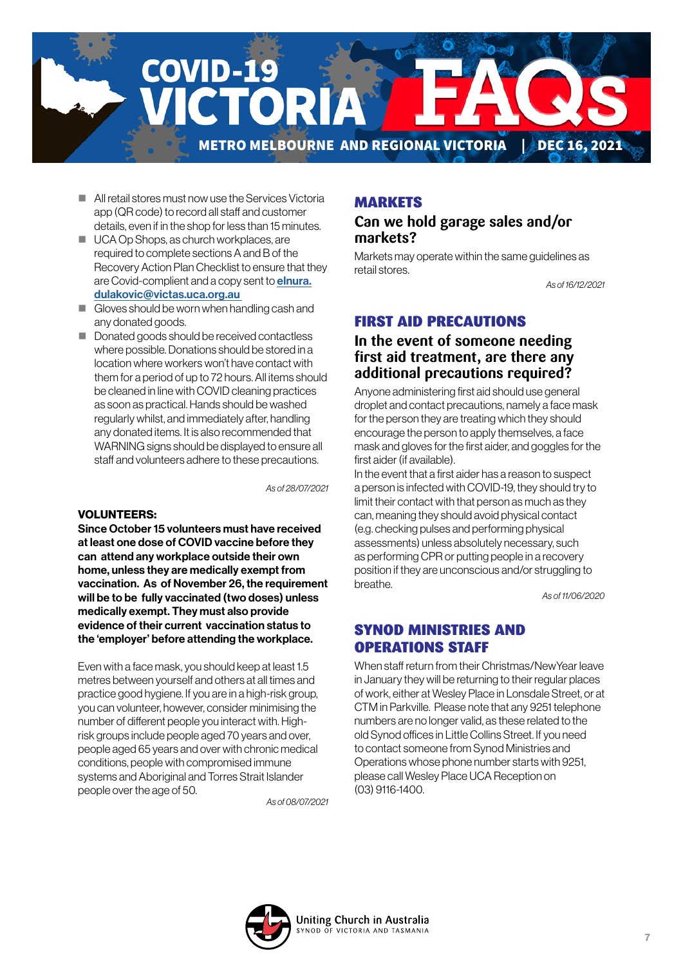

- **All retail stores must now use the Services Victoria** app (QR code) to record all staff and customer details, even if in the shop for less than 15 minutes.
- UCA Op Shops, as church workplaces, are required to complete sections A and B of the Recovery Action Plan Checklist to ensure that they are Covid-complient and a copy sent to **[elnura.](mailto:elnura.dulakovic%40victas.uca.org.au%20%20?subject=)** [dulakovic@victas.uca.org.au](mailto:elnura.dulakovic%40victas.uca.org.au%20%20?subject=)
- Gloves should be worn when handling cash and any donated goods.
- Donated goods should be received contactless where possible. Donations should be stored in a location where workers won't have contact with them for a period of up to 72 hours. All items should be cleaned in line with COVID cleaning practices as soon as practical. Hands should be washed regularly whilst, and immediately after, handling any donated items. It is also recommended that WARNING signs should be displayed to ensure all staff and volunteers adhere to these precautions.

*As of 28/07/2021*

#### VOLUNTEERS:

Since October 15 volunteers must have received at least one dose of COVID vaccine before they can attend any workplace outside their own home, unless they are medically exempt from vaccination. As of November 26, the requirement will be to be fully vaccinated (two doses) unless medically exempt. They must also provide evidence of their current vaccination status to the 'employer' before attending the workplace.

Even with a face mask, you should keep at least 1.5 metres between yourself and others at all times and practice good hygiene. If you are in a high-risk group, you can volunteer, however, consider minimising the number of different people you interact with. Highrisk groups include people aged 70 years and over, people aged 65 years and over with chronic medical conditions, people with compromised immune systems and Aboriginal and Torres Strait Islander people over the age of 50.

*As of 08/07/2021*

#### MARKETS

#### **Can we hold garage sales and/or markets?**

Markets may operate within the same guidelines as retail stores.

*As of 16/12/2021*

#### FIRST AID PRECAUTIONS

#### **In the event of someone needing first aid treatment, are there any additional precautions required?**

Anyone administering first aid should use general droplet and contact precautions, namely a face mask for the person they are treating which they should encourage the person to apply themselves, a face mask and gloves for the first aider, and goggles for the first aider (if available).

In the event that a first aider has a reason to suspect a person is infected with COVID-19, they should try to limit their contact with that person as much as they can, meaning they should avoid physical contact (e.g. checking pulses and performing physical assessments) unless absolutely necessary, such as performing CPR or putting people in a recovery position if they are unconscious and/or struggling to breathe.

*As of 11/06/2020*

#### SYNOD MINISTRIES AND OPERATIONS STAFF

When staff return from their Christmas/NewYear leave in January they will be returning to their regular places of work, either at Wesley Place in Lonsdale Street, or at CTM in Parkville. Please note that any 9251 telephone numbers are no longer valid, as these related to the old Synod offices in Little Collins Street. If you need to contact someone from Synod Ministries and Operations whose phone number starts with 9251, please call Wesley Place UCA Reception on (03) 9116-1400.